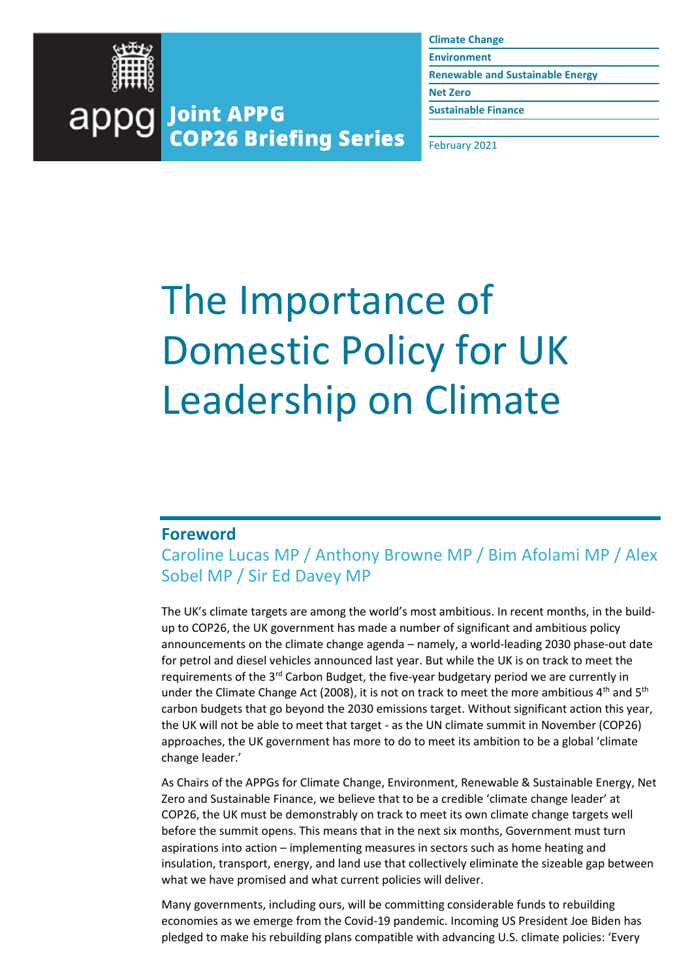

**Climate Change**

**Environment**

**Renewable and Sustainable Energy**

**Net Zero**

**Sustainable Finance**

February 2021

# The Importance of Domestic Policy for UK Leadership on Climate

#### **Foreword**

Caroline Lucas MP / Anthony Browne MP / Bim Afolami MP / Alex Sobel MP / Sir Ed Davey MP

The UK's climate targets are among the world's most ambitious. In recent months, in the buildup to COP26, the UK government has made a number of significant and ambitious policy announcements on the climate change agenda – namely, a world-leading 2030 phase-out date for petrol and diesel vehicles announced last year. But while the UK is on track to meet the requirements of the  $3<sup>rd</sup>$  Carbon Budget, the five-year budgetary period we are currently in under the Climate Change Act (2008), it is not on track to meet the more ambitious  $4<sup>th</sup>$  and  $5<sup>th</sup>$ carbon budgets that go beyond the 2030 emissions target. Without significant action this year, the UK will not be able to meet that target - as the UN climate summit in November (COP26) approaches, the UK government has more to do to meet its ambition to be a global 'climate change leader.'

As Chairs of the APPGs for Climate Change, Environment, Renewable & Sustainable Energy, Net Zero and Sustainable Finance, we believe that to be a credible 'climate change leader' at COP26, the UK must be demonstrably on track to meet its own climate change targets well before the summit opens. This means that in the next six months, Government must turn aspirations into action – implementing measures in sectors such as home heating and insulation, transport, energy, and land use that collectively eliminate the sizeable gap between what we have promised and what current policies will deliver.

Many governments, including ours, will be committing considerable funds to rebuilding economies as we emerge from the Covid-19 pandemic. Incoming US President Joe Biden has pledged to make his rebuilding plans compatible with advancing U.S. climate policies: 'Every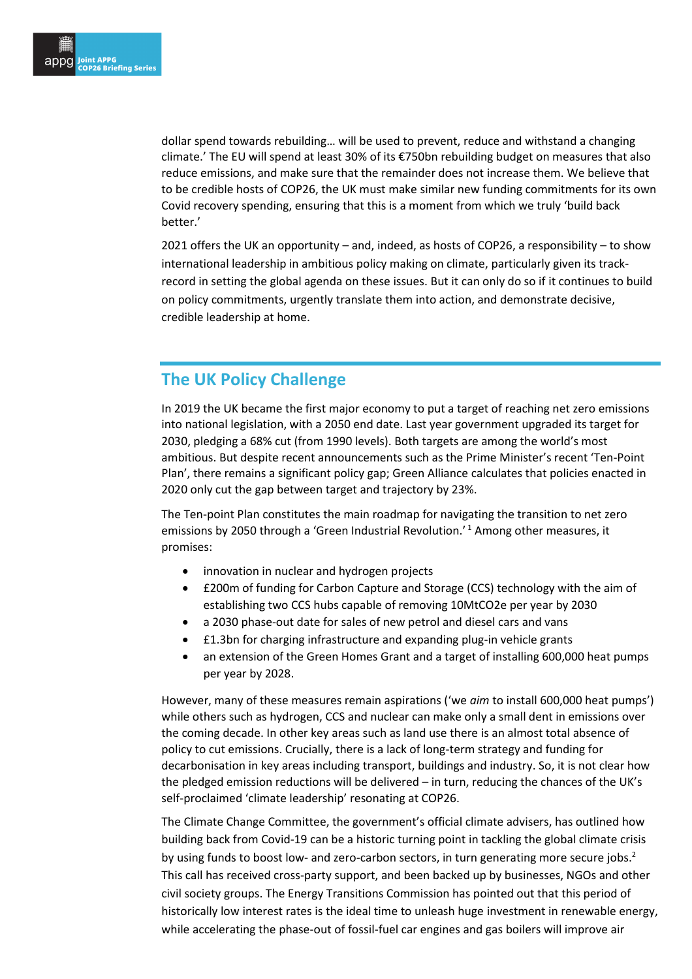dollar spend towards rebuilding… will be used to prevent, reduce and withstand a changing climate.' The EU will spend at least 30% of its €750bn rebuilding budget on measures that also reduce emissions, and make sure that the remainder does not increase them. We believe that to be credible hosts of COP26, the UK must make similar new funding commitments for its own Covid recovery spending, ensuring that this is a moment from which we truly 'build back better.'

2021 offers the UK an opportunity – and, indeed, as hosts of COP26, a responsibility – to show international leadership in ambitious policy making on climate, particularly given its trackrecord in setting the global agenda on these issues. But it can only do so if it continues to build on policy commitments, urgently translate them into action, and demonstrate decisive, credible leadership at home.

## **The UK Policy Challenge**

In 2019 the UK became the first major economy to put a target of reaching net zero emissions into national legislation, with a 2050 end date. Last year government upgraded its target for 2030, pledging a 68% cut (from 1990 levels). Both targets are among the world's most ambitious. But despite recent announcements such as the Prime Minister's recent 'Ten-Point Plan', there remains a significant policy gap; Green Alliance calculates that policies enacted in 2020 only cut the gap between target and trajectory by 23%.

The Ten-point Plan constitutes the main roadmap for navigating the transition to net zero emissions by 2050 through a 'Green Industrial Revolution.' <sup>1</sup> Among other measures, it promises:

- innovation in nuclear and hydrogen projects
- £200m of funding for Carbon Capture and Storage (CCS) technology with the aim of establishing two CCS hubs capable of removing 10MtCO2e per year by 2030
- a 2030 phase-out date for sales of new petrol and diesel cars and vans
- £1.3bn for charging infrastructure and expanding plug-in vehicle grants
- an extension of the Green Homes Grant and a target of installing 600,000 heat pumps per year by 2028.

However, many of these measures remain aspirations ('we *aim* to install 600,000 heat pumps') while others such as hydrogen, CCS and nuclear can make only a small dent in emissions over the coming decade. In other key areas such as land use there is an almost total absence of policy to cut emissions. Crucially, there is a lack of long-term strategy and funding for decarbonisation in key areas including transport, buildings and industry. So, it is not clear how the pledged emission reductions will be delivered – in turn, reducing the chances of the UK's self-proclaimed 'climate leadership' resonating at COP26.

The Climate Change Committee, the government's official climate advisers, has outlined how building back from Covid-19 can be a historic turning point in tackling the global climate crisis by using funds to boost low- and zero-carbon sectors, in turn generating more secure jobs.<sup>2</sup> This call has received cross-party support, and been backed up by businesses, NGOs and other civil society groups. The Energy Transitions Commission has pointed out that this period of historically low interest rates is the ideal time to unleash huge investment in renewable energy, while accelerating the phase-out of fossil-fuel car engines and gas boilers will improve air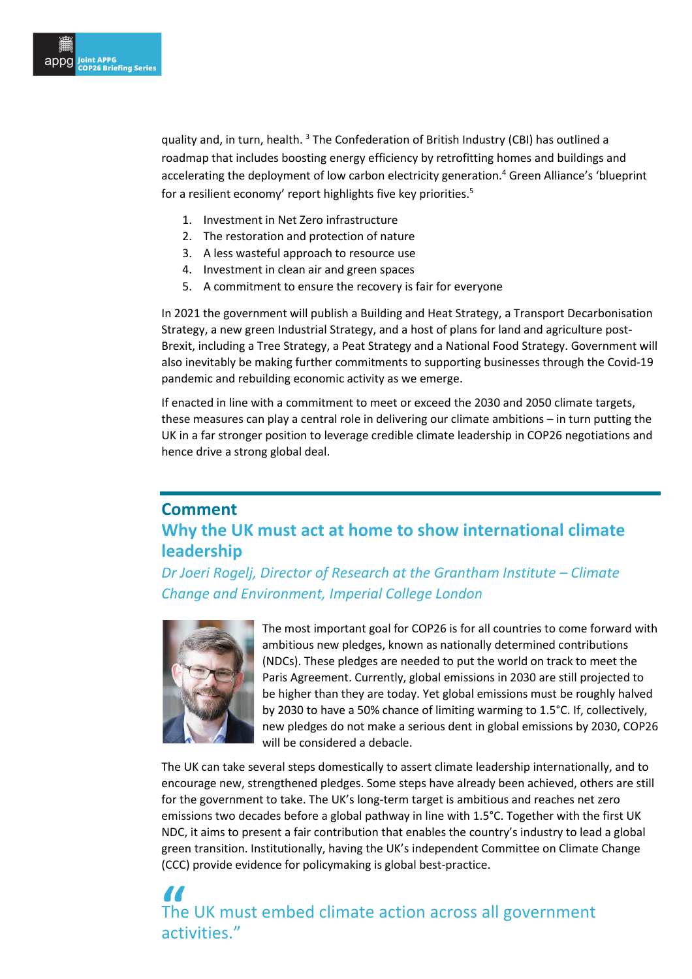quality and, in turn, health. <sup>3</sup> The Confederation of British Industry (CBI) has outlined a roadmap that includes boosting energy efficiency by retrofitting homes and buildings and accelerating the deployment of low carbon electricity generation.<sup>4</sup> Green Alliance's 'blueprint for a resilient economy' report highlights five key priorities.<sup>5</sup>

- 1. Investment in Net Zero infrastructure
- 2. The restoration and protection of nature
- 3. A less wasteful approach to resource use
- 4. Investment in clean air and green spaces
- 5. A commitment to ensure the recovery is fair for everyone

In 2021 the government will publish a Building and Heat Strategy, a Transport Decarbonisation Strategy, a new green Industrial Strategy, and a host of plans for land and agriculture post-Brexit, including a Tree Strategy, a Peat Strategy and a National Food Strategy. Government will also inevitably be making further commitments to supporting businesses through the Covid-19 pandemic and rebuilding economic activity as we emerge.

If enacted in line with a commitment to meet or exceed the 2030 and 2050 climate targets, these measures can play a central role in delivering our climate ambitions – in turn putting the UK in a far stronger position to leverage credible climate leadership in COP26 negotiations and hence drive a strong global deal.

## **Comment Why the UK must act at home to show international climate leadership**

*Dr Joeri Rogelj, Director of Research at the Grantham Institute – Climate Change and Environment, Imperial College London*



The most important goal for COP26 is for all countries to come forward with ambitious new pledges, known as nationally determined contributions (NDCs). These pledges are needed to put the world on track to meet the Paris Agreement. Currently, global emissions in 2030 are still projected to be higher than they are today. Yet global emissions must be roughly halved by 2030 to have a 50% chance of limiting warming to 1.5°C. If, collectively, new pledges do not make a serious dent in global emissions by 2030, COP26 will be considered a debacle.

The UK can take several steps domestically to assert climate leadership internationally, and to encourage new, strengthened pledges. Some steps have already been achieved, others are still for the government to take. The UK's long-term target is ambitious and reaches net zero emissions two decades before a global pathway in line with 1.5°C. Together with the first UK NDC, it aims to present a fair contribution that enables the country's industry to lead a global green transition. Institutionally, having the UK's independent Committee on Climate Change (CCC) provide evidence for policymaking is global best-practice.

**"**<br>The<br>act The UK must embed climate action across all government activities."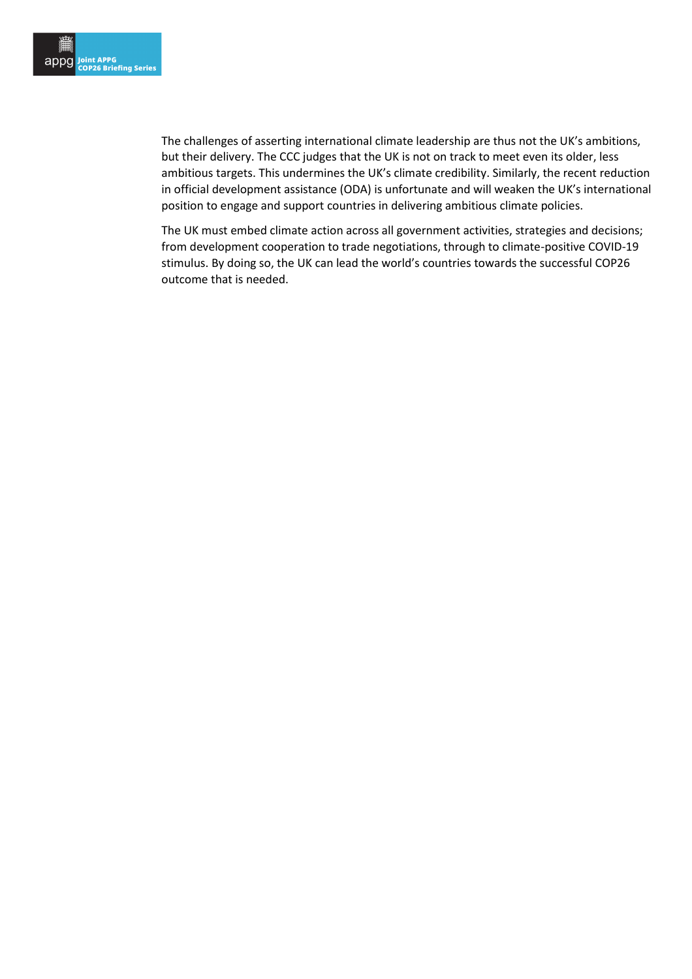The challenges of asserting international climate leadership are thus not the UK's ambitions, but their delivery. The CCC judges that the UK is not on track to meet even its older, less ambitious targets. This undermines the UK's climate credibility. Similarly, the recent reduction in official development assistance (ODA) is unfortunate and will weaken the UK's international position to engage and support countries in delivering ambitious climate policies.

The UK must embed climate action across all government activities, strategies and decisions; from development cooperation to trade negotiations, through to climate-positive COVID-19 stimulus. By doing so, the UK can lead the world's countries towards the successful COP26 outcome that is needed.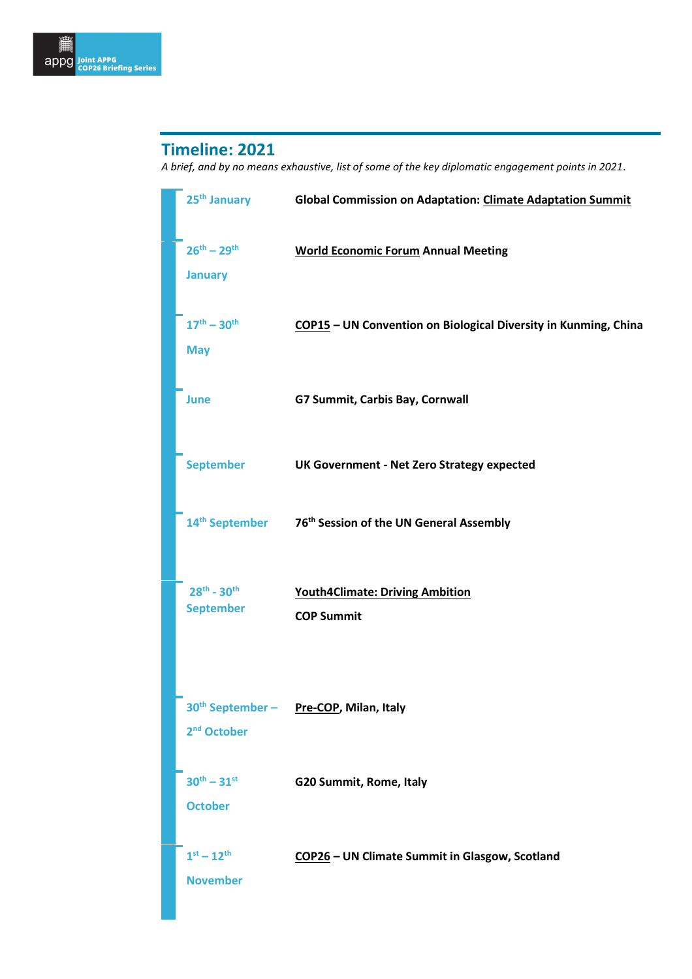## **Timeline: 2021**

*A brief, and by no means exhaustive, list of some of the key diplomatic engagement points in 2021.* 

| 25 <sup>th</sup> January                | <b>Global Commission on Adaptation: Climate Adaptation Summit</b> |
|-----------------------------------------|-------------------------------------------------------------------|
| $26^{th} - 29^{th}$<br><b>January</b>   | <b>World Economic Forum Annual Meeting</b>                        |
| $17^{th} - 30^{th}$<br><b>May</b>       | COP15 - UN Convention on Biological Diversity in Kunming, China   |
| <b>June</b>                             | G7 Summit, Carbis Bay, Cornwall                                   |
| <b>September</b>                        | <b>UK Government - Net Zero Strategy expected</b>                 |
| 14 <sup>th</sup> September              | 76 <sup>th</sup> Session of the UN General Assembly               |
| $28^{th} - 30^{th}$<br><b>September</b> | <b>Youth4Climate: Driving Ambition</b><br><b>COP Summit</b>       |
| 2 <sup>nd</sup> October                 | 30th September - Pre-COP, Milan, Italy                            |
| $30^{th} - 31^{st}$<br><b>October</b>   | G20 Summit, Rome, Italy                                           |
| $1^{st} - 12^{th}$<br><b>November</b>   | COP26 - UN Climate Summit in Glasgow, Scotland                    |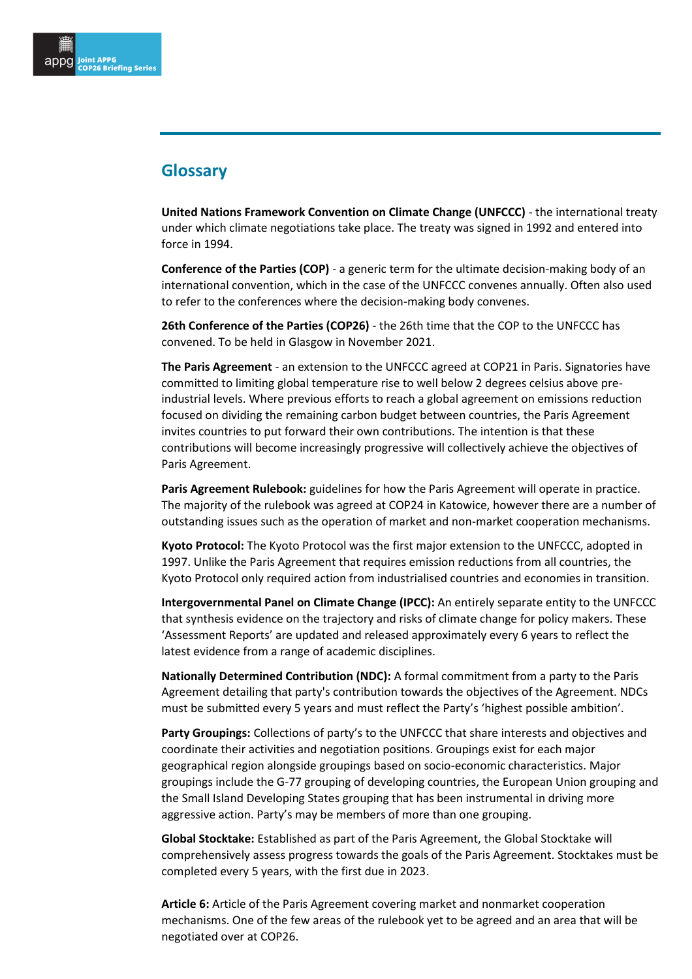### **Glossary**

**United Nations Framework Convention on Climate Change (UNFCCC)** - the international treaty under which climate negotiations take place. The treaty was signed in 1992 and entered into force in 1994.

**Conference of the Parties (COP)** - a generic term for the ultimate decision-making body of an international convention, which in the case of the UNFCCC convenes annually. Often also used to refer to the conferences where the decision-making body convenes.

**26th Conference of the Parties (COP26)** - the 26th time that the COP to the UNFCCC has convened. To be held in Glasgow in November 2021.

**The Paris Agreement** - an extension to the UNFCCC agreed at COP21 in Paris. Signatories have committed to limiting global temperature rise to well below 2 degrees celsius above preindustrial levels. Where previous efforts to reach a global agreement on emissions reduction focused on dividing the remaining carbon budget between countries, the Paris Agreement invites countries to put forward their own contributions. The intention is that these contributions will become increasingly progressive will collectively achieve the objectives of Paris Agreement.

**Paris Agreement Rulebook:** guidelines for how the Paris Agreement will operate in practice. The majority of the rulebook was agreed at COP24 in Katowice, however there are a number of outstanding issues such as the operation of market and non-market cooperation mechanisms.

**Kyoto Protocol:** The Kyoto Protocol was the first major extension to the UNFCCC, adopted in 1997. Unlike the Paris Agreement that requires emission reductions from all countries, the Kyoto Protocol only required action from industrialised countries and economies in transition.

**Intergovernmental Panel on Climate Change (IPCC):** An entirely separate entity to the UNFCCC that synthesis evidence on the trajectory and risks of climate change for policy makers. These 'Assessment Reports' are updated and released approximately every 6 years to reflect the latest evidence from a range of academic disciplines.

**Nationally Determined Contribution (NDC):** A formal commitment from a party to the Paris Agreement detailing that party's contribution towards the objectives of the Agreement. NDCs must be submitted every 5 years and must reflect the Party's 'highest possible ambition'.

**Party Groupings:** Collections of party's to the UNFCCC that share interests and objectives and coordinate their activities and negotiation positions. Groupings exist for each major geographical region alongside groupings based on socio-economic characteristics. Major groupings include the G-77 grouping of developing countries, the European Union grouping and the Small Island Developing States grouping that has been instrumental in driving more aggressive action. Party's may be members of more than one grouping.

**Global Stocktake:** Established as part of the Paris Agreement, the Global Stocktake will comprehensively assess progress towards the goals of the Paris Agreement. Stocktakes must be completed every 5 years, with the first due in 2023.

**Article 6:** Article of the Paris Agreement covering market and nonmarket cooperation mechanisms. One of the few areas of the rulebook yet to be agreed and an area that will be negotiated over at COP26.